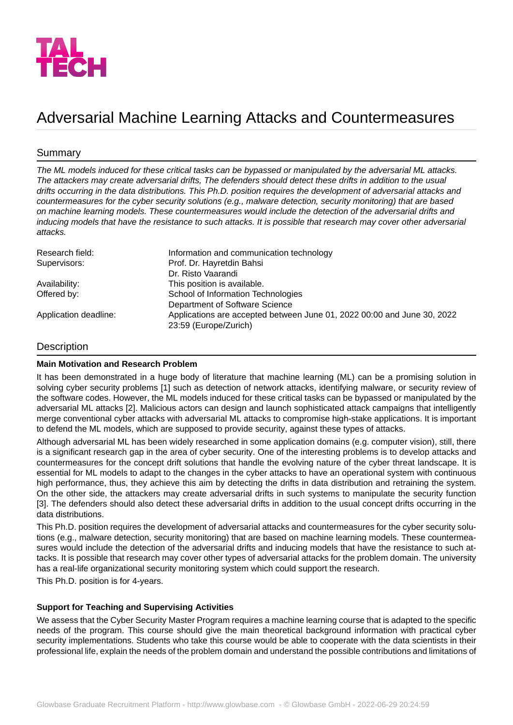

# Adversarial Machine Learning Attacks and Countermeasures

## Summary

*The ML models induced for these critical tasks can be bypassed or manipulated by the adversarial ML attacks. The attackers may create adversarial drifts, The defenders should detect these drifts in addition to the usual drifts occurring in the data distributions. This Ph.D. position requires the development of adversarial attacks and countermeasures for the cyber security solutions (e.g., malware detection, security monitoring) that are based on machine learning models. These countermeasures would include the detection of the adversarial drifts and inducing models that have the resistance to such attacks. It is possible that research may cover other adversarial attacks.*

| Research field:       | Information and communication technology                                                         |
|-----------------------|--------------------------------------------------------------------------------------------------|
| Supervisors:          | Prof. Dr. Hayretdin Bahsi                                                                        |
|                       | Dr. Risto Vaarandi                                                                               |
| Availability:         | This position is available.                                                                      |
| Offered by:           | School of Information Technologies                                                               |
|                       | Department of Software Science                                                                   |
| Application deadline: | Applications are accepted between June 01, 2022 00:00 and June 30, 2022<br>23:59 (Europe/Zurich) |

#### **Description**

#### **Main Motivation and Research Problem**

It has been demonstrated in a huge body of literature that machine learning (ML) can be a promising solution in solving cyber security problems [1] such as detection of network attacks, identifying malware, or security review of the software codes. However, the ML models induced for these critical tasks can be bypassed or manipulated by the adversarial ML attacks [2]. Malicious actors can design and launch sophisticated attack campaigns that intelligently merge conventional cyber attacks with adversarial ML attacks to compromise high-stake applications. It is important to defend the ML models, which are supposed to provide security, against these types of attacks.

Although adversarial ML has been widely researched in some application domains (e.g. computer vision), still, there is a significant research gap in the area of cyber security. One of the interesting problems is to develop attacks and countermeasures for the concept drift solutions that handle the evolving nature of the cyber threat landscape. It is essential for ML models to adapt to the changes in the cyber attacks to have an operational system with continuous high performance, thus, they achieve this aim by detecting the drifts in data distribution and retraining the system. On the other side, the attackers may create adversarial drifts in such systems to manipulate the security function [3]. The defenders should also detect these adversarial drifts in addition to the usual concept drifts occurring in the data distributions.

This Ph.D. position requires the development of adversarial attacks and countermeasures for the cyber security solutions (e.g., malware detection, security monitoring) that are based on machine learning models. These countermeasures would include the detection of the adversarial drifts and inducing models that have the resistance to such attacks. It is possible that research may cover other types of adversarial attacks for the problem domain. The university has a real-life organizational security monitoring system which could support the research.

This Ph.D. position is for 4-years.

#### **Support for Teaching and Supervising Activities**

We assess that the Cyber Security Master Program requires a machine learning course that is adapted to the specific needs of the program. This course should give the main theoretical background information with practical cyber security implementations. Students who take this course would be able to cooperate with the data scientists in their professional life, explain the needs of the problem domain and understand the possible contributions and limitations of